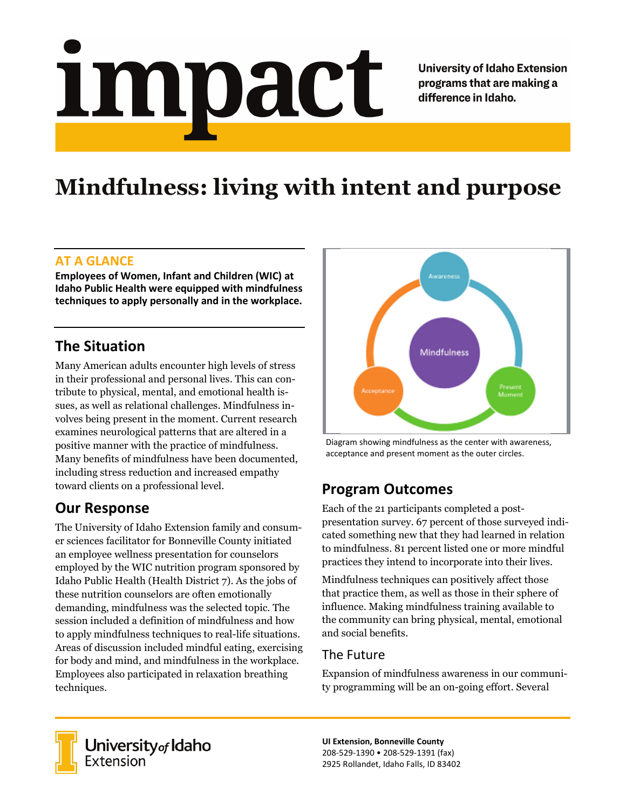# <u>impact</u>

**University of Idaho Extension** programs that are making a difference in Idaho.

# **Mindfulness: living with intent and purpose**

#### **AT A GLANCE**

**Employees of Women, Infant and Children (WIC) at Idaho Public Health were equipped with mindfulness techniques to apply personally and in the workplace.**

### **The Situation**

Many American adults encounter high levels of stress in their professional and personal lives. This can contribute to physical, mental, and emotional health issues, as well as relational challenges. Mindfulness involves being present in the moment. Current research examines neurological patterns that are altered in a positive manner with the practice of mindfulness. Many benefits of mindfulness have been documented, including stress reduction and increased empathy toward clients on a professional level.

#### **Our Response**

The University of Idaho Extension family and consumer sciences facilitator for Bonneville County initiated an employee wellness presentation for counselors employed by the WIC nutrition program sponsored by Idaho Public Health (Health District 7). As the jobs of these nutrition counselors are often emotionally demanding, mindfulness was the selected topic. The session included a definition of mindfulness and how to apply mindfulness techniques to real-life situations. Areas of discussion included mindful eating, exercising for body and mind, and mindfulness in the workplace. Employees also participated in relaxation breathing techniques.



Diagram showing mindfulness as the center with awareness, acceptance and present moment as the outer circles.

# **Program Outcomes**

Each of the 21 participants completed a postpresentation survey. 67 percent of those surveyed indicated something new that they had learned in relation to mindfulness. 81 percent listed one or more mindful practices they intend to incorporate into their lives.

Mindfulness techniques can p0sitively affect those that practice them, as well as those in their sphere of influence. Making mindfulness training available to the community can bring physical, mental, emotional and social benefits.

#### The Future

Expansion of mindfulness awareness in our community programming will be an on-going effort. Several



University of Idaho<br>Extension

**UI Extension, Bonneville County** 208-529-1390 • 208-529-1391 (fax) 2925 Rollandet, Idaho Falls, ID 83402